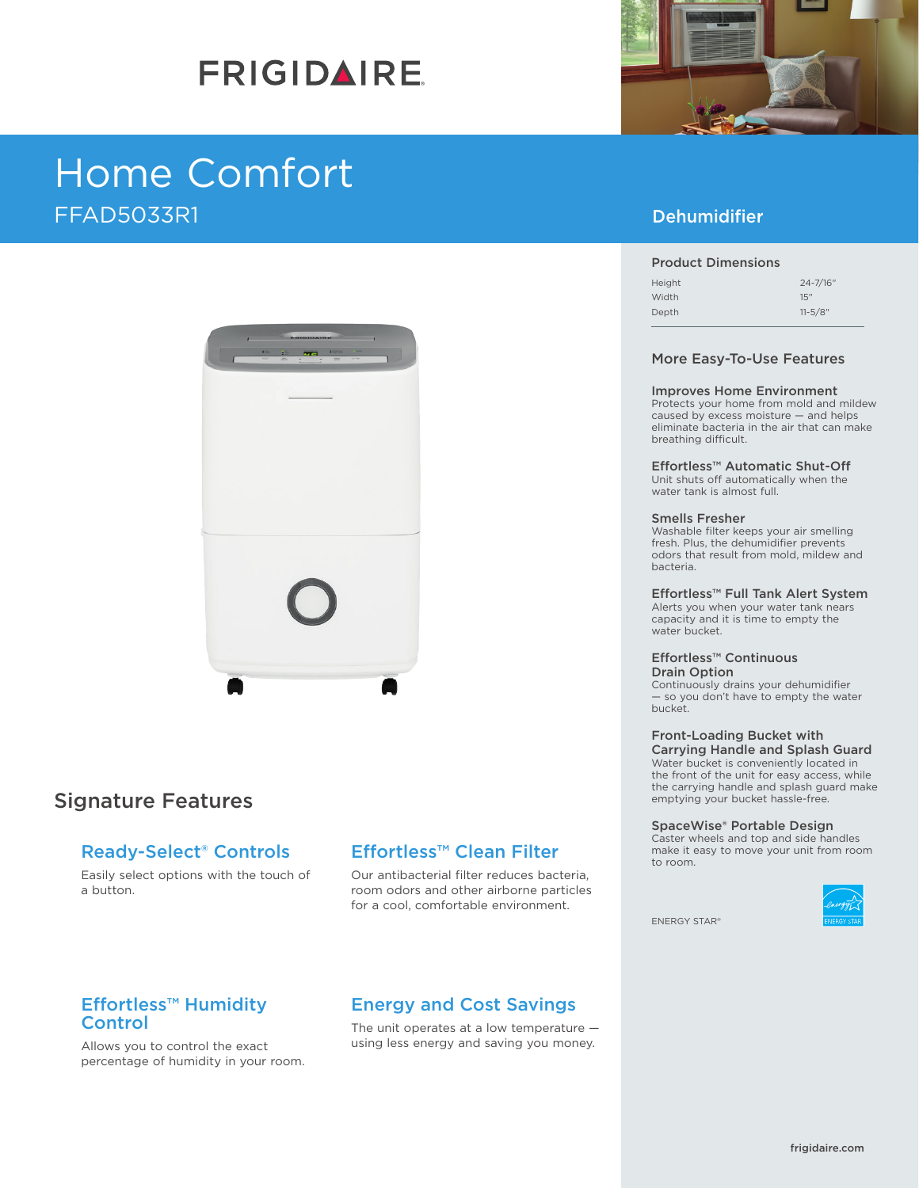# **FRIGIDAIRE**

## Home Comfort FFAD5033R1



## Signature Features

## Ready-Select® Controls

Easily select options with the touch of a button.

## Effortless™ Clean Filter

Our antibacterial filter reduces bacteria, room odors and other airborne particles for a cool, comfortable environment.

### Effortless™ Humidity **Control**

Allows you to control the exact percentage of humidity in your room.

## Energy and Cost Savings

The unit operates at a low temperature using less energy and saving you money.



## Dehumidifier

#### Product Dimensions

| Height | $24 - 7/16"$ |
|--------|--------------|
| Width  | 15"          |
| Depth  | $11 - 5/8$ " |

#### More Easy-To-Use Features

#### Improves Home Environment

Protects your home from mold and mildew caused by excess moisture — and helps eliminate bacteria in the air that can make breathing difficult.

Effortless™ Automatic Shut-Off Unit shuts off automatically when the water tank is almost full.

#### Smells Fresher

Washable filter keeps your air smelling fresh. Plus, the dehumidifier prevents odors that result from mold, mildew and bacteria.

### Effortless™ Full Tank Alert System

Alerts you when your water tank nears capacity and it is time to empty the water bucket.

#### Effortless™ Continuous Drain Option

Continuously drains your dehumidifier — so you don't have to empty the water bucket.

#### Front-Loading Bucket with Carrying Handle and Splash Guard

Water bucket is conveniently located in the front of the unit for easy access, while the carrying handle and splash guard make emptying your bucket hassle-free.

#### SpaceWise® Portable Design

Caster wheels and top and side handles make it easy to move your unit from room to room.



ENERGY STAR®